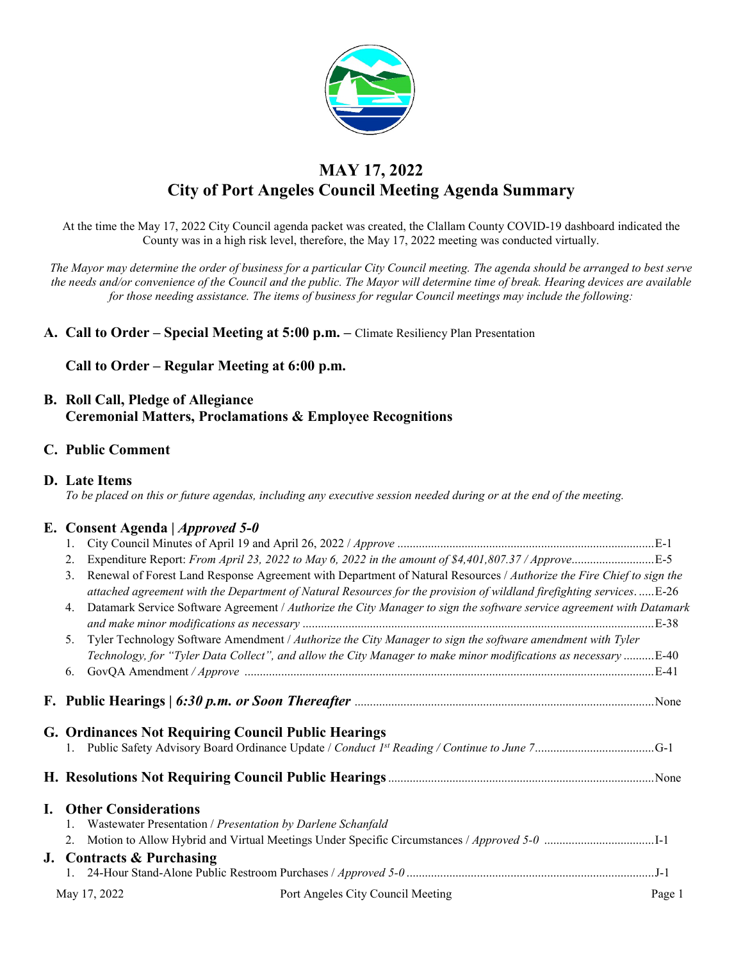

# **MAY 17, 2022 City of Port Angeles Council Meeting Agenda Summary**

At the time the May 17, 2022 City Council agenda packet was created, the Clallam County COVID-19 dashboard indicated the County was in a high risk level, therefore, the May 17, 2022 meeting was conducted virtually.

*The Mayor may determine the order of business for a particular City Council meeting. The agenda should be arranged to best serve the needs and/or convenience of the Council and the public. The Mayor will determine time of break. Hearing devices are available for those needing assistance. The items of business for regular Council meetings may include the following:*

**A. Call to Order – Special Meeting at 5:00 p.m. –** Climate Resiliency Plan Presentation

**Call to Order – Regular Meeting at 6:00 p.m.**

## **B. Roll Call, Pledge of Allegiance Ceremonial Matters, Proclamations & Employee Recognitions**

### **C. Public Comment**

|  |  | D. Late Items |
|--|--|---------------|
|--|--|---------------|

*To be placed on this or future agendas, including any executive session needed during or at the end of the meeting.*

### **E. Consent Agenda |** *Approved 5-0*

| 2. |                                                             | Expenditure Report: From April 23, 2022 to May 6, 2022 in the amount of \$4,401,807.37 / ApproveE-5                    |        |
|----|-------------------------------------------------------------|------------------------------------------------------------------------------------------------------------------------|--------|
| 3. |                                                             | Renewal of Forest Land Response Agreement with Department of Natural Resources / Authorize the Fire Chief to sign the  |        |
|    |                                                             | attached agreement with the Department of Natural Resources for the provision of wildland firefighting services.  E-26 |        |
| 4. |                                                             | Datamark Service Software Agreement / Authorize the City Manager to sign the software service agreement with Datamark  |        |
|    |                                                             |                                                                                                                        |        |
| 5. |                                                             | Tyler Technology Software Amendment / Authorize the City Manager to sign the software amendment with Tyler             |        |
|    |                                                             | Technology, for "Tyler Data Collect", and allow the City Manager to make minor modifications as necessary E-40         |        |
| 6. |                                                             |                                                                                                                        |        |
|    | <b>G. Ordinances Not Requiring Council Public Hearings</b>  |                                                                                                                        |        |
|    |                                                             |                                                                                                                        |        |
|    | <b>I.</b> Other Considerations                              |                                                                                                                        |        |
|    | Wastewater Presentation / Presentation by Darlene Schanfald |                                                                                                                        |        |
|    |                                                             | 2. Motion to Allow Hybrid and Virtual Meetings Under Specific Circumstances / Approved 5-0 1-1                         |        |
|    | J. Contracts & Purchasing                                   |                                                                                                                        |        |
|    |                                                             |                                                                                                                        |        |
|    | May 17, 2022                                                | Port Angeles City Council Meeting                                                                                      | Page 1 |